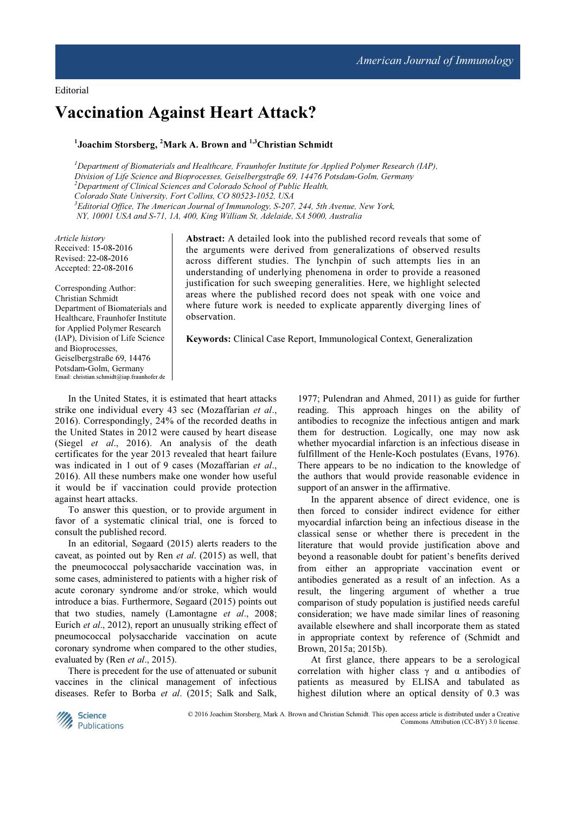Editorial

# Vaccination Against Heart Attack?

## <sup>1</sup>Joachim Storsberg, <sup>2</sup>Mark A. Brown and <sup>1,3</sup>Christian Schmidt

 $<sup>I</sup>$ Department of Biomaterials and Healthcare, Fraunhofer Institute for Applied Polymer Research (IAP),</sup> Division of Life Science and Bioprocesses, Geiselbergstraße 69, 14476 Potsdam-Golm, Germany  $2$ Department of Clinical Sciences and Colorado School of Public Health, Colorado State University, Fort Collins, CO 80523-1052, USA  $3E$ ditorial Office, The American Journal of Immunology, S-207, 244, 5th Avenue, New York, NY, 10001 USA and S-71, 1A, 400, King William St, Adelaide, SA 5000, Australia

Article history Received: 15-08-2016 Revised: 22-08-2016 Accepted: 22-08-2016

Corresponding Author: Christian Schmidt Department of Biomaterials and Healthcare, Fraunhofer Institute for Applied Polymer Research (IAP), Division of Life Science and Bioprocesses, Geiselbergstraße 69, 14476 Potsdam-Golm, Germany Email: christian.schmidt@iap.fraunhofer.de

Abstract: A detailed look into the published record reveals that some of the arguments were derived from generalizations of observed results across different studies. The lynchpin of such attempts lies in an understanding of underlying phenomena in order to provide a reasoned justification for such sweeping generalities. Here, we highlight selected areas where the published record does not speak with one voice and where future work is needed to explicate apparently diverging lines of observation.

Keywords: Clinical Case Report, Immunological Context, Generalization

In the United States, it is estimated that heart attacks strike one individual every 43 sec (Mozaffarian et al., 2016). Correspondingly, 24% of the recorded deaths in the United States in 2012 were caused by heart disease (Siegel et al., 2016). An analysis of the death certificates for the year 2013 revealed that heart failure was indicated in 1 out of 9 cases (Mozaffarian et al., 2016). All these numbers make one wonder how useful it would be if vaccination could provide protection against heart attacks.

To answer this question, or to provide argument in favor of a systematic clinical trial, one is forced to consult the published record.

In an editorial, Søgaard (2015) alerts readers to the caveat, as pointed out by Ren et al. (2015) as well, that the pneumococcal polysaccharide vaccination was, in some cases, administered to patients with a higher risk of acute coronary syndrome and/or stroke, which would introduce a bias. Furthermore, Søgaard (2015) points out that two studies, namely (Lamontagne et al., 2008; Eurich et al., 2012), report an unusually striking effect of pneumococcal polysaccharide vaccination on acute coronary syndrome when compared to the other studies, evaluated by (Ren et al., 2015).

There is precedent for the use of attenuated or subunit vaccines in the clinical management of infectious diseases. Refer to Borba et al. (2015; Salk and Salk,

1977; Pulendran and Ahmed, 2011) as guide for further reading. This approach hinges on the ability of antibodies to recognize the infectious antigen and mark them for destruction. Logically, one may now ask whether myocardial infarction is an infectious disease in fulfillment of the Henle-Koch postulates (Evans, 1976). There appears to be no indication to the knowledge of the authors that would provide reasonable evidence in support of an answer in the affirmative.

In the apparent absence of direct evidence, one is then forced to consider indirect evidence for either myocardial infarction being an infectious disease in the classical sense or whether there is precedent in the literature that would provide justification above and beyond a reasonable doubt for patient's benefits derived from either an appropriate vaccination event or antibodies generated as a result of an infection. As a result, the lingering argument of whether a true comparison of study population is justified needs careful consideration; we have made similar lines of reasoning available elsewhere and shall incorporate them as stated in appropriate context by reference of (Schmidt and Brown, 2015a; 2015b).

At first glance, there appears to be a serological correlation with higher class  $\gamma$  and  $\alpha$  antibodies of patients as measured by ELISA and tabulated as highest dilution where an optical density of 0.3 was



© 2016 Joachim Storsberg, Mark A. Brown and Christian Schmidt. This open access article is distributed under a Creative Commons Attribution (CC-BY) 3.0 license.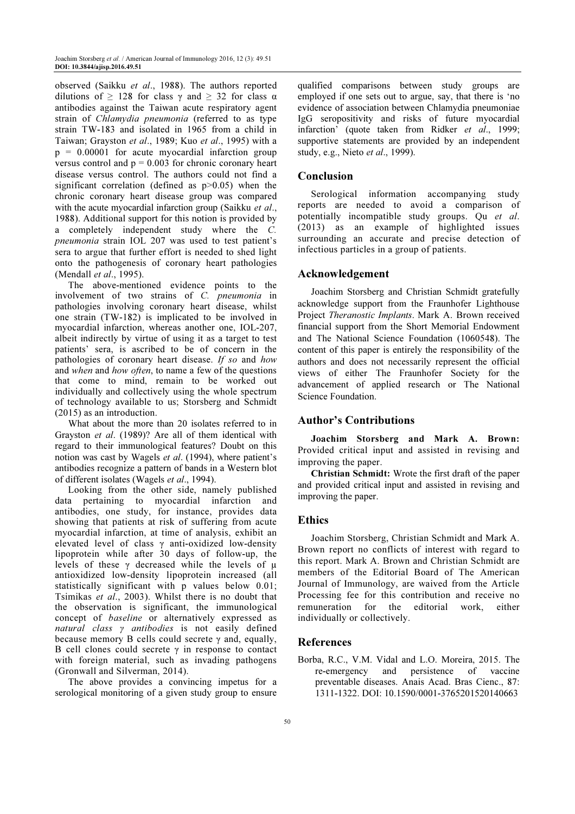observed (Saikku et al., 1988). The authors reported dilutions of  $\geq$  128 for class  $\gamma$  and  $\geq$  32 for class  $\alpha$ antibodies against the Taiwan acute respiratory agent strain of Chlamydia pneumonia (referred to as type strain TW-183 and isolated in 1965 from a child in Taiwan; Grayston et al., 1989; Kuo et al., 1995) with a  $p = 0.00001$  for acute myocardial infarction group versus control and  $p = 0.003$  for chronic coronary heart disease versus control. The authors could not find a significant correlation (defined as p>0.05) when the chronic coronary heart disease group was compared with the acute myocardial infarction group (Saikku et al., 1988). Additional support for this notion is provided by a completely independent study where the C. pneumonia strain IOL 207 was used to test patient's sera to argue that further effort is needed to shed light onto the pathogenesis of coronary heart pathologies (Mendall et al., 1995).

The above-mentioned evidence points to the involvement of two strains of C. pneumonia in pathologies involving coronary heart disease, whilst one strain (TW-182) is implicated to be involved in myocardial infarction, whereas another one, IOL-207, albeit indirectly by virtue of using it as a target to test patients' sera, is ascribed to be of concern in the pathologies of coronary heart disease. If so and how and when and how often, to name a few of the questions that come to mind, remain to be worked out individually and collectively using the whole spectrum of technology available to us; Storsberg and Schmidt (2015) as an introduction.

What about the more than 20 isolates referred to in Grayston et al. (1989)? Are all of them identical with regard to their immunological features? Doubt on this notion was cast by Wagels et al. (1994), where patient's antibodies recognize a pattern of bands in a Western blot of different isolates (Wagels et al., 1994).

Looking from the other side, namely published data pertaining to myocardial infarction and antibodies, one study, for instance, provides data showing that patients at risk of suffering from acute myocardial infarction, at time of analysis, exhibit an elevated level of class γ anti-oxidized low-density lipoprotein while after 30 days of follow-up, the levels of these  $\gamma$  decreased while the levels of  $\mu$ antioxidized low-density lipoprotein increased (all statistically significant with p values below 0.01; Tsimikas et al., 2003). Whilst there is no doubt that the observation is significant, the immunological concept of baseline or alternatively expressed as natural class γ antibodies is not easily defined because memory B cells could secrete  $\gamma$  and, equally, B cell clones could secrete  $\gamma$  in response to contact with foreign material, such as invading pathogens (Gronwall and Silverman, 2014).

The above provides a convincing impetus for a serological monitoring of a given study group to ensure qualified comparisons between study groups are employed if one sets out to argue, say, that there is 'no evidence of association between Chlamydia pneumoniae IgG seropositivity and risks of future myocardial infarction' (quote taken from Ridker et al., 1999; supportive statements are provided by an independent study, e.g., Nieto et al., 1999).

### Conclusion

Serological information accompanying study reports are needed to avoid a comparison of potentially incompatible study groups. Qu et al. (2013) as an example of highlighted issues surrounding an accurate and precise detection of infectious particles in a group of patients.

#### Acknowledgement

Joachim Storsberg and Christian Schmidt gratefully acknowledge support from the Fraunhofer Lighthouse Project Theranostic Implants. Mark A. Brown received financial support from the Short Memorial Endowment and The National Science Foundation (1060548). The content of this paper is entirely the responsibility of the authors and does not necessarily represent the official views of either The Fraunhofer Society for the advancement of applied research or The National Science Foundation.

#### Author's Contributions

Joachim Storsberg and Mark A. Brown: Provided critical input and assisted in revising and improving the paper.

Christian Schmidt: Wrote the first draft of the paper and provided critical input and assisted in revising and improving the paper.

#### Ethics

Joachim Storsberg, Christian Schmidt and Mark A. Brown report no conflicts of interest with regard to this report. Mark A. Brown and Christian Schmidt are members of the Editorial Board of The American Journal of Immunology, are waived from the Article Processing fee for this contribution and receive no remuneration for the editorial work, either individually or collectively.

#### References

Borba, R.C., V.M. Vidal and L.O. Moreira, 2015. The re-emergency and persistence of vaccine preventable diseases. Anais Acad. Bras Cienc., 87: 1311-1322. DOI: 10.1590/0001-3765201520140663